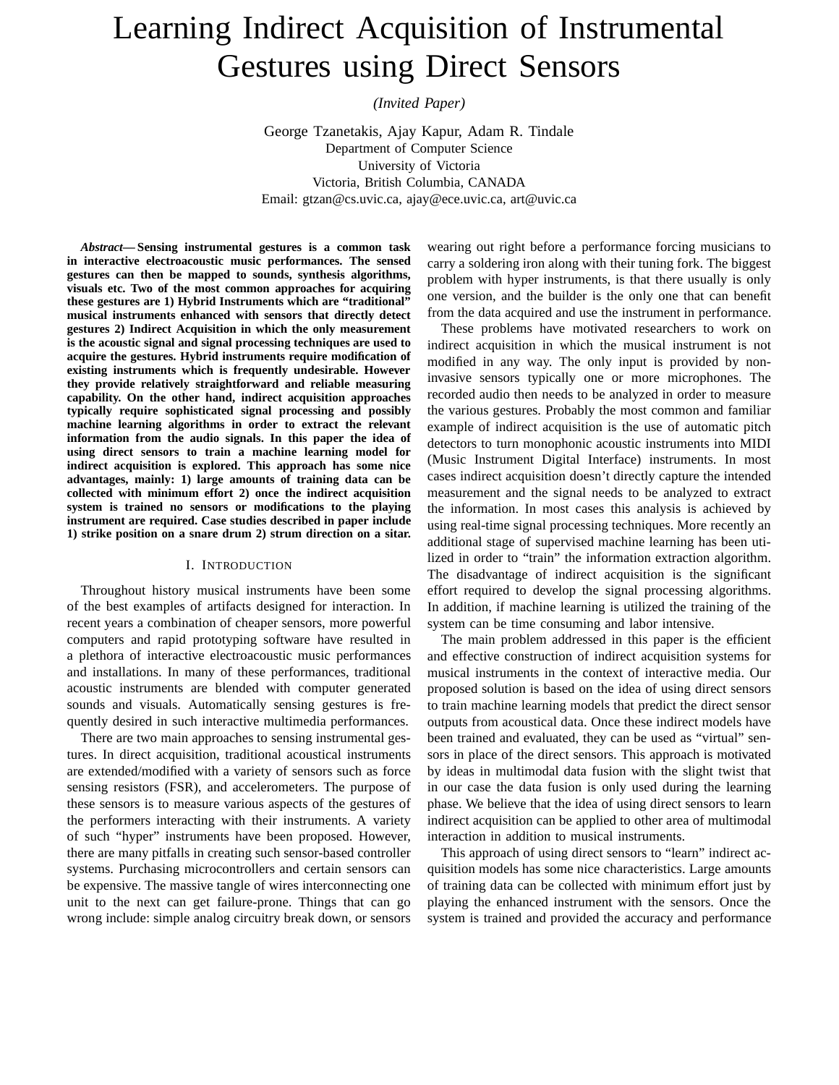# Learning Indirect Acquisition of Instrumental Gestures using Direct Sensors

*(Invited Paper)*

George Tzanetakis, Ajay Kapur, Adam R. Tindale Department of Computer Science University of Victoria Victoria, British Columbia, CANADA Email: gtzan@cs.uvic.ca, ajay@ece.uvic.ca, art@uvic.ca

*Abstract***— Sensing instrumental gestures is a common task in interactive electroacoustic music performances. The sensed gestures can then be mapped to sounds, synthesis algorithms, visuals etc. Two of the most common approaches for acquiring these gestures are 1) Hybrid Instruments which are "traditional" musical instruments enhanced with sensors that directly detect gestures 2) Indirect Acquisition in which the only measurement is the acoustic signal and signal processing techniques are used to acquire the gestures. Hybrid instruments require modification of existing instruments which is frequently undesirable. However they provide relatively straightforward and reliable measuring capability. On the other hand, indirect acquisition approaches typically require sophisticated signal processing and possibly machine learning algorithms in order to extract the relevant information from the audio signals. In this paper the idea of using direct sensors to train a machine learning model for indirect acquisition is explored. This approach has some nice advantages, mainly: 1) large amounts of training data can be collected with minimum effort 2) once the indirect acquisition system is trained no sensors or modifications to the playing instrument are required. Case studies described in paper include 1) strike position on a snare drum 2) strum direction on a sitar.**

# I. INTRODUCTION

Throughout history musical instruments have been some of the best examples of artifacts designed for interaction. In recent years a combination of cheaper sensors, more powerful computers and rapid prototyping software have resulted in a plethora of interactive electroacoustic music performances and installations. In many of these performances, traditional acoustic instruments are blended with computer generated sounds and visuals. Automatically sensing gestures is frequently desired in such interactive multimedia performances.

There are two main approaches to sensing instrumental gestures. In direct acquisition, traditional acoustical instruments are extended/modified with a variety of sensors such as force sensing resistors (FSR), and accelerometers. The purpose of these sensors is to measure various aspects of the gestures of the performers interacting with their instruments. A variety of such "hyper" instruments have been proposed. However, there are many pitfalls in creating such sensor-based controller systems. Purchasing microcontrollers and certain sensors can be expensive. The massive tangle of wires interconnecting one unit to the next can get failure-prone. Things that can go wrong include: simple analog circuitry break down, or sensors wearing out right before a performance forcing musicians to carry a soldering iron along with their tuning fork. The biggest problem with hyper instruments, is that there usually is only one version, and the builder is the only one that can benefit from the data acquired and use the instrument in performance.

These problems have motivated researchers to work on indirect acquisition in which the musical instrument is not modified in any way. The only input is provided by noninvasive sensors typically one or more microphones. The recorded audio then needs to be analyzed in order to measure the various gestures. Probably the most common and familiar example of indirect acquisition is the use of automatic pitch detectors to turn monophonic acoustic instruments into MIDI (Music Instrument Digital Interface) instruments. In most cases indirect acquisition doesn't directly capture the intended measurement and the signal needs to be analyzed to extract the information. In most cases this analysis is achieved by using real-time signal processing techniques. More recently an additional stage of supervised machine learning has been utilized in order to "train" the information extraction algorithm. The disadvantage of indirect acquisition is the significant effort required to develop the signal processing algorithms. In addition, if machine learning is utilized the training of the system can be time consuming and labor intensive.

The main problem addressed in this paper is the efficient and effective construction of indirect acquisition systems for musical instruments in the context of interactive media. Our proposed solution is based on the idea of using direct sensors to train machine learning models that predict the direct sensor outputs from acoustical data. Once these indirect models have been trained and evaluated, they can be used as "virtual" sensors in place of the direct sensors. This approach is motivated by ideas in multimodal data fusion with the slight twist that in our case the data fusion is only used during the learning phase. We believe that the idea of using direct sensors to learn indirect acquisition can be applied to other area of multimodal interaction in addition to musical instruments.

This approach of using direct sensors to "learn" indirect acquisition models has some nice characteristics. Large amounts of training data can be collected with minimum effort just by playing the enhanced instrument with the sensors. Once the system is trained and provided the accuracy and performance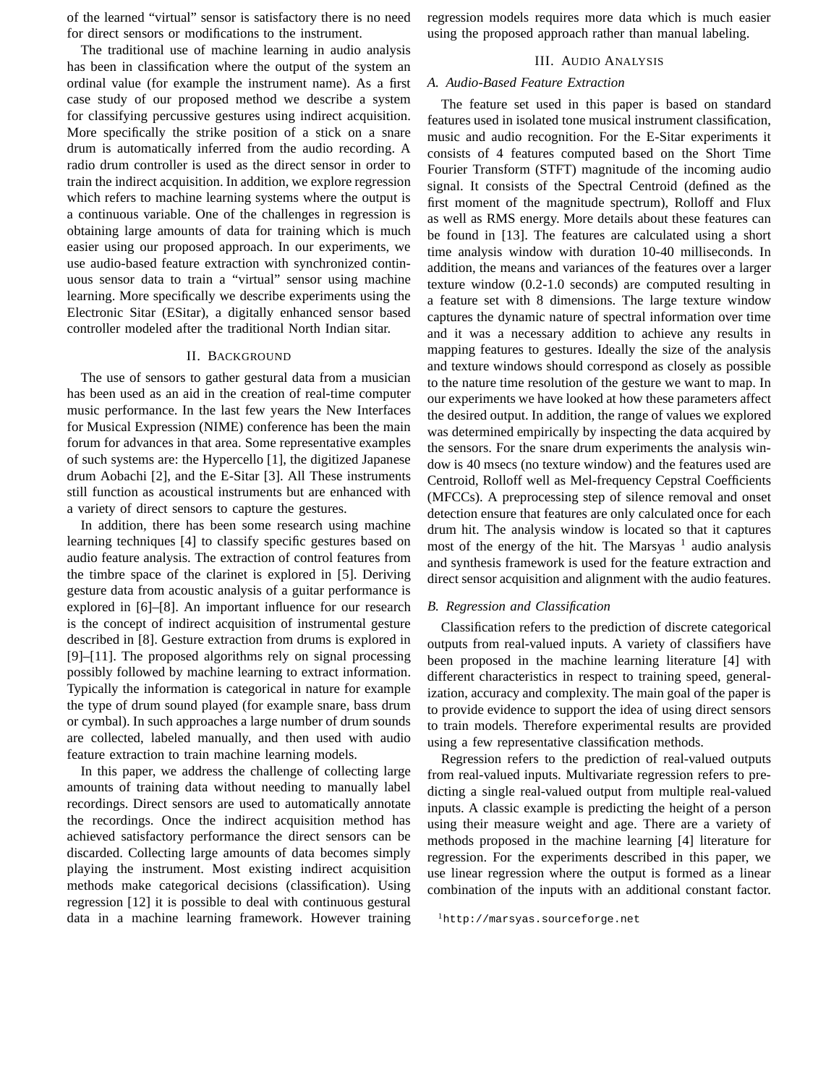of the learned "virtual" sensor is satisfactory there is no need for direct sensors or modifications to the instrument.

The traditional use of machine learning in audio analysis has been in classification where the output of the system an ordinal value (for example the instrument name). As a first case study of our proposed method we describe a system for classifying percussive gestures using indirect acquisition. More specifically the strike position of a stick on a snare drum is automatically inferred from the audio recording. A radio drum controller is used as the direct sensor in order to train the indirect acquisition. In addition, we explore regression which refers to machine learning systems where the output is a continuous variable. One of the challenges in regression is obtaining large amounts of data for training which is much easier using our proposed approach. In our experiments, we use audio-based feature extraction with synchronized continuous sensor data to train a "virtual" sensor using machine learning. More specifically we describe experiments using the Electronic Sitar (ESitar), a digitally enhanced sensor based controller modeled after the traditional North Indian sitar.

#### II. BACKGROUND

The use of sensors to gather gestural data from a musician has been used as an aid in the creation of real-time computer music performance. In the last few years the New Interfaces for Musical Expression (NIME) conference has been the main forum for advances in that area. Some representative examples of such systems are: the Hypercello [1], the digitized Japanese drum Aobachi [2], and the E-Sitar [3]. All These instruments still function as acoustical instruments but are enhanced with a variety of direct sensors to capture the gestures.

In addition, there has been some research using machine learning techniques [4] to classify specific gestures based on audio feature analysis. The extraction of control features from the timbre space of the clarinet is explored in [5]. Deriving gesture data from acoustic analysis of a guitar performance is explored in [6]–[8]. An important influence for our research is the concept of indirect acquisition of instrumental gesture described in [8]. Gesture extraction from drums is explored in [9]–[11]. The proposed algorithms rely on signal processing possibly followed by machine learning to extract information. Typically the information is categorical in nature for example the type of drum sound played (for example snare, bass drum or cymbal). In such approaches a large number of drum sounds are collected, labeled manually, and then used with audio feature extraction to train machine learning models.

In this paper, we address the challenge of collecting large amounts of training data without needing to manually label recordings. Direct sensors are used to automatically annotate the recordings. Once the indirect acquisition method has achieved satisfactory performance the direct sensors can be discarded. Collecting large amounts of data becomes simply playing the instrument. Most existing indirect acquisition methods make categorical decisions (classification). Using regression [12] it is possible to deal with continuous gestural data in a machine learning framework. However training regression models requires more data which is much easier using the proposed approach rather than manual labeling.

# III. AUDIO ANALYSIS

# *A. Audio-Based Feature Extraction*

The feature set used in this paper is based on standard features used in isolated tone musical instrument classification, music and audio recognition. For the E-Sitar experiments it consists of 4 features computed based on the Short Time Fourier Transform (STFT) magnitude of the incoming audio signal. It consists of the Spectral Centroid (defined as the first moment of the magnitude spectrum), Rolloff and Flux as well as RMS energy. More details about these features can be found in [13]. The features are calculated using a short time analysis window with duration 10-40 milliseconds. In addition, the means and variances of the features over a larger texture window (0.2-1.0 seconds) are computed resulting in a feature set with 8 dimensions. The large texture window captures the dynamic nature of spectral information over time and it was a necessary addition to achieve any results in mapping features to gestures. Ideally the size of the analysis and texture windows should correspond as closely as possible to the nature time resolution of the gesture we want to map. In our experiments we have looked at how these parameters affect the desired output. In addition, the range of values we explored was determined empirically by inspecting the data acquired by the sensors. For the snare drum experiments the analysis window is 40 msecs (no texture window) and the features used are Centroid, Rolloff well as Mel-frequency Cepstral Coefficients (MFCCs). A preprocessing step of silence removal and onset detection ensure that features are only calculated once for each drum hit. The analysis window is located so that it captures most of the energy of the hit. The Marsyas <sup>1</sup> audio analysis and synthesis framework is used for the feature extraction and direct sensor acquisition and alignment with the audio features.

#### *B. Regression and Classification*

Classification refers to the prediction of discrete categorical outputs from real-valued inputs. A variety of classifiers have been proposed in the machine learning literature [4] with different characteristics in respect to training speed, generalization, accuracy and complexity. The main goal of the paper is to provide evidence to support the idea of using direct sensors to train models. Therefore experimental results are provided using a few representative classification methods.

Regression refers to the prediction of real-valued outputs from real-valued inputs. Multivariate regression refers to predicting a single real-valued output from multiple real-valued inputs. A classic example is predicting the height of a person using their measure weight and age. There are a variety of methods proposed in the machine learning [4] literature for regression. For the experiments described in this paper, we use linear regression where the output is formed as a linear combination of the inputs with an additional constant factor.

<sup>1</sup>http://marsyas.sourceforge.net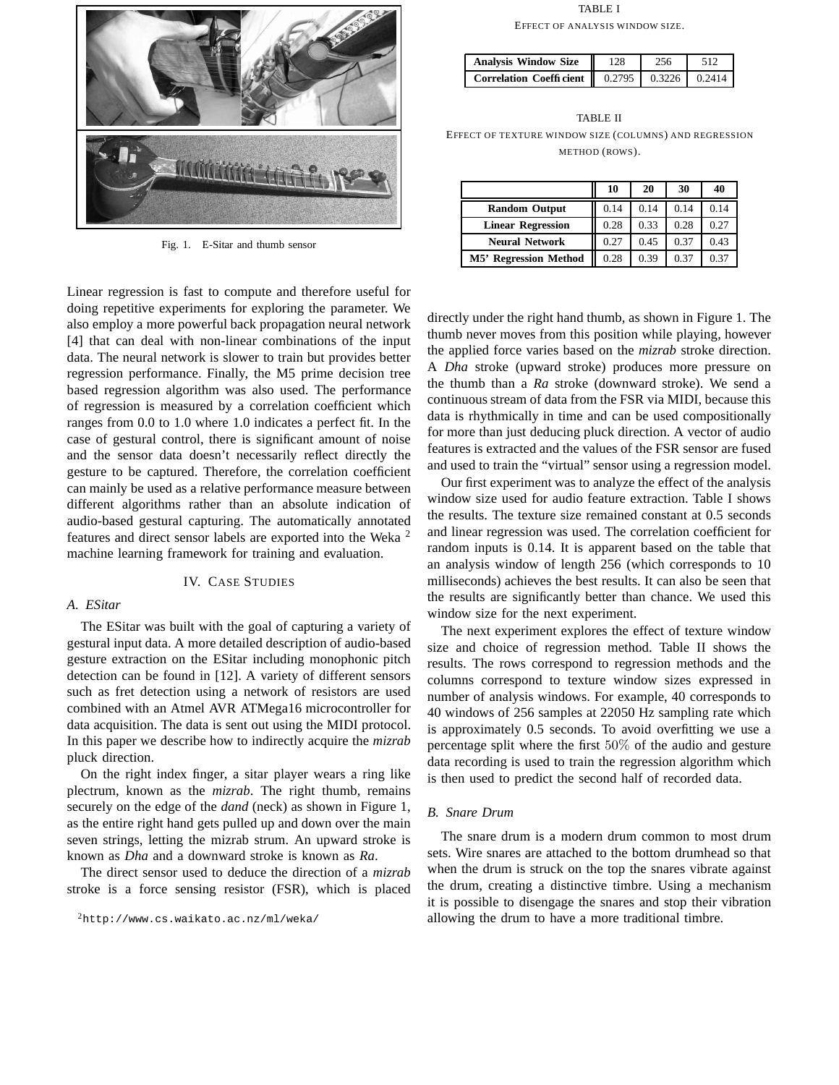

Fig. 1. E-Sitar and thumb sensor

Linear regression is fast to compute and therefore useful for doing repetitive experiments for exploring the parameter. We also employ a more powerful back propagation neural network [4] that can deal with non-linear combinations of the input data. The neural network is slower to train but provides better regression performance. Finally, the M5 prime decision tree based regression algorithm was also used. The performance of regression is measured by a correlation coefficient which ranges from 0.0 to 1.0 where 1.0 indicates a perfect fit. In the case of gestural control, there is significant amount of noise and the sensor data doesn't necessarily reflect directly the gesture to be captured. Therefore, the correlation coefficient can mainly be used as a relative performance measure between different algorithms rather than an absolute indication of audio-based gestural capturing. The automatically annotated features and direct sensor labels are exported into the Weka<sup>2</sup> machine learning framework for training and evaluation.

# IV. CASE STUDIES

# *A. ESitar*

The ESitar was built with the goal of capturing a variety of gestural input data. A more detailed description of audio-based gesture extraction on the ESitar including monophonic pitch detection can be found in [12]. A variety of different sensors such as fret detection using a network of resistors are used combined with an Atmel AVR ATMega16 microcontroller for data acquisition. The data is sent out using the MIDI protocol. In this paper we describe how to indirectly acquire the *mizrab* pluck direction.

On the right index finger, a sitar player wears a ring like plectrum, known as the *mizrab*. The right thumb, remains securely on the edge of the *dand* (neck) as shown in Figure 1, as the entire right hand gets pulled up and down over the main seven strings, letting the mizrab strum. An upward stroke is known as *Dha* and a downward stroke is known as *Ra*.

The direct sensor used to deduce the direction of a *mizrab* stroke is a force sensing resistor (FSR), which is placed

TABLE I EFFECT OF ANALYSIS WINDOW SIZE.

| Analysis Window Size                                      | 128 |  |
|-----------------------------------------------------------|-----|--|
| <b>Correlation Coefficient   0.2795   0.3226   0.2414</b> |     |  |

TABLE II EFFECT OF TEXTURE WINDOW SIZE (COLUMNS) AND REGRESSION METHOD (ROWS).

|                              | 10   | 20   | 30   | 40   |
|------------------------------|------|------|------|------|
| <b>Random Output</b>         | 0.14 | 0.14 | 0.14 | 0.14 |
| <b>Linear Regression</b>     | 0.28 | 0.33 | 0.28 | 0.27 |
| <b>Neural Network</b>        | 0.27 | 0.45 | 0.37 | 0.43 |
| <b>M5' Regression Method</b> | 0.28 | 0.39 | 0.37 | 0.37 |

directly under the right hand thumb, as shown in Figure 1. The thumb never moves from this position while playing, however the applied force varies based on the *mizrab* stroke direction. A *Dha* stroke (upward stroke) produces more pressure on the thumb than a *Ra* stroke (downward stroke). We send a continuous stream of data from the FSR via MIDI, because this data is rhythmically in time and can be used compositionally for more than just deducing pluck direction. A vector of audio features is extracted and the values of the FSR sensor are fused and used to train the "virtual" sensor using a regression model.

Our first experiment was to analyze the effect of the analysis window size used for audio feature extraction. Table I shows the results. The texture size remained constant at 0.5 seconds and linear regression was used. The correlation coefficient for random inputs is 0.14. It is apparent based on the table that an analysis window of length 256 (which corresponds to 10 milliseconds) achieves the best results. It can also be seen that the results are significantly better than chance. We used this window size for the next experiment.

The next experiment explores the effect of texture window size and choice of regression method. Table II shows the results. The rows correspond to regression methods and the columns correspond to texture window sizes expressed in number of analysis windows. For example, 40 corresponds to 40 windows of 256 samples at 22050 Hz sampling rate which is approximately 0.5 seconds. To avoid overfitting we use a percentage split where the first 50% of the audio and gesture data recording is used to train the regression algorithm which is then used to predict the second half of recorded data.

#### *B. Snare Drum*

The snare drum is a modern drum common to most drum sets. Wire snares are attached to the bottom drumhead so that when the drum is struck on the top the snares vibrate against the drum, creating a distinctive timbre. Using a mechanism it is possible to disengage the snares and stop their vibration allowing the drum to have a more traditional timbre.

<sup>2</sup>http://www.cs.waikato.ac.nz/ml/weka/